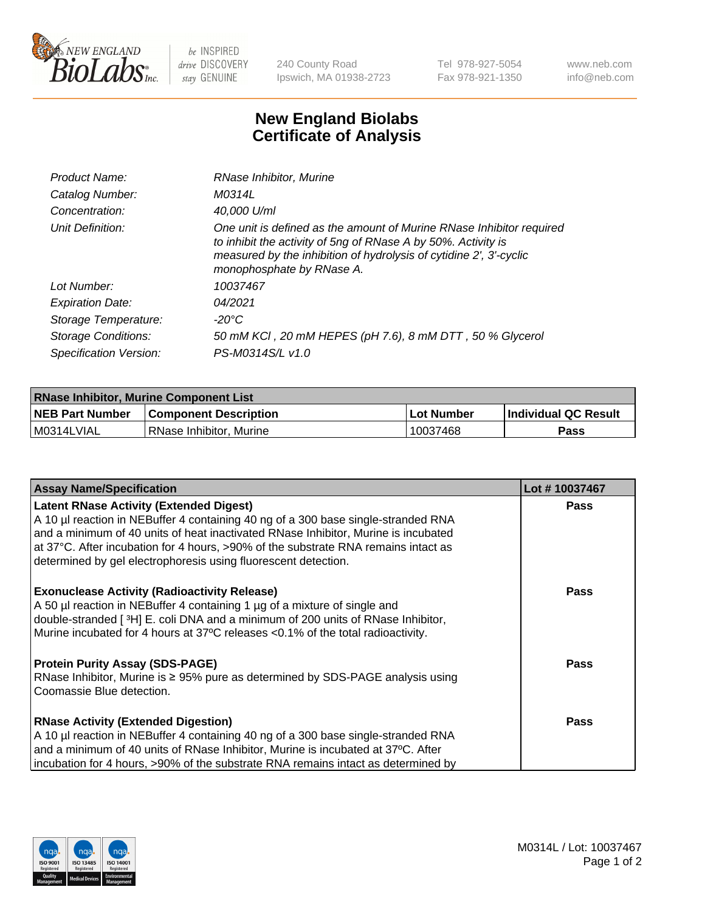

 $be$  INSPIRED drive DISCOVERY stay GENUINE

240 County Road Ipswich, MA 01938-2723 Tel 978-927-5054 Fax 978-921-1350 www.neb.com info@neb.com

## **New England Biolabs Certificate of Analysis**

| Product Name:              | RNase Inhibitor, Murine                                                                                                                                                                                                                  |
|----------------------------|------------------------------------------------------------------------------------------------------------------------------------------------------------------------------------------------------------------------------------------|
| Catalog Number:            | M0314L                                                                                                                                                                                                                                   |
| Concentration:             | 40,000 U/ml                                                                                                                                                                                                                              |
| Unit Definition:           | One unit is defined as the amount of Murine RNase Inhibitor required<br>to inhibit the activity of 5ng of RNase A by 50%. Activity is<br>measured by the inhibition of hydrolysis of cytidine 2', 3'-cyclic<br>monophosphate by RNase A. |
| Lot Number:                | 10037467                                                                                                                                                                                                                                 |
| <b>Expiration Date:</b>    | 04/2021                                                                                                                                                                                                                                  |
| Storage Temperature:       | -20°C                                                                                                                                                                                                                                    |
| <b>Storage Conditions:</b> | 50 mM KCl, 20 mM HEPES (pH 7.6), 8 mM DTT, 50 % Glycerol                                                                                                                                                                                 |
| Specification Version:     | PS-M0314S/L v1.0                                                                                                                                                                                                                         |

| <b>RNase Inhibitor, Murine Component List</b> |                              |                   |                             |  |
|-----------------------------------------------|------------------------------|-------------------|-----------------------------|--|
| <b>NEB Part Number</b>                        | <b>Component Description</b> | <b>Lot Number</b> | <b>Individual QC Result</b> |  |
| M0314LVIAL                                    | l RNase Inhibitor. Murine    | 10037468          | <b>Pass</b>                 |  |

| <b>Assay Name/Specification</b>                                                                                                                                                                                                                                                                          | Lot #10037467 |
|----------------------------------------------------------------------------------------------------------------------------------------------------------------------------------------------------------------------------------------------------------------------------------------------------------|---------------|
| <b>Latent RNase Activity (Extended Digest)</b><br>A 10 µl reaction in NEBuffer 4 containing 40 ng of a 300 base single-stranded RNA                                                                                                                                                                      | <b>Pass</b>   |
| and a minimum of 40 units of heat inactivated RNase Inhibitor, Murine is incubated<br>at 37°C. After incubation for 4 hours, >90% of the substrate RNA remains intact as<br>determined by gel electrophoresis using fluorescent detection.                                                               |               |
| <b>Exonuclease Activity (Radioactivity Release)</b><br>A 50 µl reaction in NEBuffer 4 containing 1 µg of a mixture of single and<br>double-stranded [3H] E. coli DNA and a minimum of 200 units of RNase Inhibitor,<br>Murine incubated for 4 hours at 37°C releases <0.1% of the total radioactivity.   | Pass          |
| <b>Protein Purity Assay (SDS-PAGE)</b><br>RNase Inhibitor, Murine is ≥ 95% pure as determined by SDS-PAGE analysis using<br>Coomassie Blue detection.                                                                                                                                                    | <b>Pass</b>   |
| <b>RNase Activity (Extended Digestion)</b><br>A 10 µl reaction in NEBuffer 4 containing 40 ng of a 300 base single-stranded RNA<br>and a minimum of 40 units of RNase Inhibitor, Murine is incubated at 37°C. After<br>incubation for 4 hours, >90% of the substrate RNA remains intact as determined by | <b>Pass</b>   |